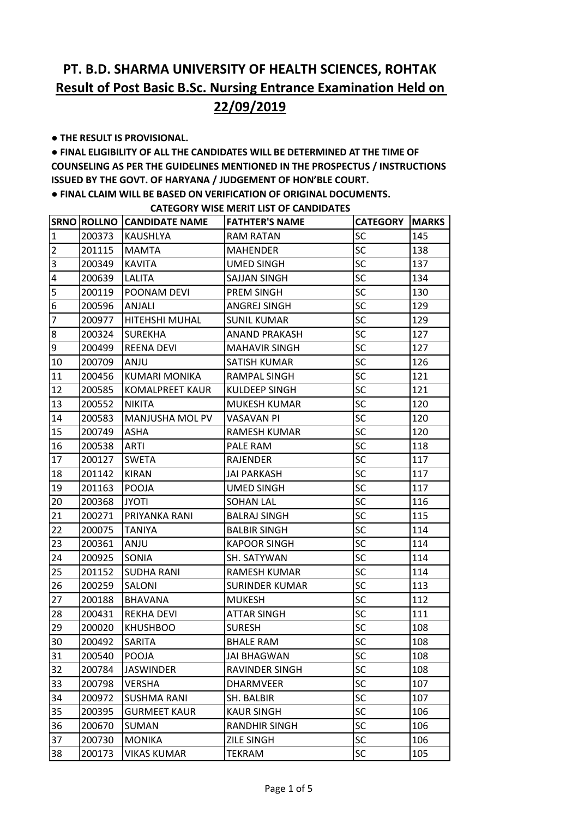**● THE RESULT IS PROVISIONAL.** 

**● FINAL ELIGIBILITY OF ALL THE CANDIDATES WILL BE DETERMINED AT THE TIME OF COUNSELING AS PER THE GUIDELINES MENTIONED IN THE PROSPECTUS / INSTRUCTIONS ISSUED BY THE GOVT. OF HARYANA / JUDGEMENT OF HON'BLE COURT.** 

**● FINAL CLAIM WILL BE BASED ON VERIFICATION OF ORIGINAL DOCUMENTS.**

|                         |        | <b>SRNO ROLLNO CANDIDATE NAME</b> | <b>FATHTER'S NAME</b> | <b>CATEGORY</b> | <b>MARKS</b> |
|-------------------------|--------|-----------------------------------|-----------------------|-----------------|--------------|
| $\overline{1}$          | 200373 | KAUSHLYA                          | RAM RATAN             | SC              | 145          |
| $\overline{2}$          | 201115 | <b>MAMTA</b>                      | <b>MAHENDER</b>       | SC              | 138          |
| $\overline{\mathbf{3}}$ | 200349 | <b>KAVITA</b>                     | <b>UMED SINGH</b>     | SC              | 137          |
| $\pmb{4}$               | 200639 | LALITA                            | <b>SAJJAN SINGH</b>   | SC              | 134          |
| 5                       | 200119 | POONAM DEVI                       | <b>PREM SINGH</b>     | SC              | 130          |
| 6                       | 200596 | ANJALI                            | ANGREJ SINGH          | SC              | 129          |
| $\overline{7}$          | 200977 | <b>HITEHSHI MUHAL</b>             | <b>SUNIL KUMAR</b>    | SC              | 129          |
| $\bf 8$                 | 200324 | <b>SUREKHA</b>                    | <b>ANAND PRAKASH</b>  | SC              | 127          |
| 9                       | 200499 | <b>REENA DEVI</b>                 | <b>MAHAVIR SINGH</b>  | SC              | 127          |
| 10                      | 200709 | ANJU                              | SATISH KUMAR          | SC              | 126          |
| 11                      | 200456 | KUMARI MONIKA                     | RAMPAL SINGH          | SC              | 121          |
| 12                      | 200585 | <b>KOMALPREET KAUR</b>            | <b>KULDEEP SINGH</b>  | SC              | 121          |
| 13                      | 200552 | <b>NIKITA</b>                     | <b>MUKESH KUMAR</b>   | SC              | 120          |
| 14                      | 200583 | MANJUSHA MOL PV                   | VASAVAN PI            | SC              | 120          |
| 15                      | 200749 | <b>ASHA</b>                       | RAMESH KUMAR          | SC              | 120          |
| 16                      | 200538 | ARTI                              | PALE RAM              | SC              | 118          |
| 17                      | 200127 | <b>SWETA</b>                      | RAJENDER              | SC              | 117          |
| 18                      | 201142 | <b>KIRAN</b>                      | JAI PARKASH           | SC              | 117          |
| 19                      | 201163 | POOJA                             | UMED SINGH            | SC              | 117          |
| 20                      | 200368 | <b>JYOTI</b>                      | <b>SOHAN LAL</b>      | SC              | 116          |
| 21                      | 200271 | PRIYANKA RANI                     | <b>BALRAJ SINGH</b>   | SC              | 115          |
| 22                      | 200075 | <b>TANIYA</b>                     | <b>BALBIR SINGH</b>   | SC              | 114          |
| 23                      | 200361 | ANJU                              | <b>KAPOOR SINGH</b>   | SC              | 114          |
| 24                      | 200925 | SONIA                             | SH. SATYWAN           | SC              | 114          |
| 25                      | 201152 | <b>SUDHA RANI</b>                 | RAMESH KUMAR          | SC              | 114          |
| 26                      | 200259 | SALONI                            | SURINDER KUMAR        | SC              | 113          |
| 27                      | 200188 | <b>BHAVANA</b>                    | <b>MUKESH</b>         | SC              | 112          |
| 28                      | 200431 | <b>REKHA DEVI</b>                 | ATTAR SINGH           | SC              | 111          |
| 29                      | 200020 | <b>KHUSHBOO</b>                   | <b>SURESH</b>         | SC              | 108          |
| 30                      | 200492 | SARITA                            | <b>BHALE RAM</b>      | SC              | 108          |
| 31                      | 200540 | <b>POOJA</b>                      | <b>JAI BHAGWAN</b>    | SC              | 108          |
| 32                      | 200784 | <b>JASWINDER</b>                  | RAVINDER SINGH        | SC              | 108          |
| 33                      | 200798 | <b>VERSHA</b>                     | <b>DHARMVEER</b>      | SC              | 107          |
| 34                      | 200972 | <b>SUSHMA RANI</b>                | SH. BALBIR            | SC              | 107          |
| 35                      | 200395 | <b>GURMEET KAUR</b>               | <b>KAUR SINGH</b>     | SC              | 106          |
| 36                      | 200670 | SUMAN                             | <b>RANDHIR SINGH</b>  | SC              | 106          |
| 37                      | 200730 | <b>MONIKA</b>                     | <b>ZILE SINGH</b>     | SC              | 106          |
| 38                      | 200173 | VIKAS KUMAR                       | TEKRAM                | SC              | 105          |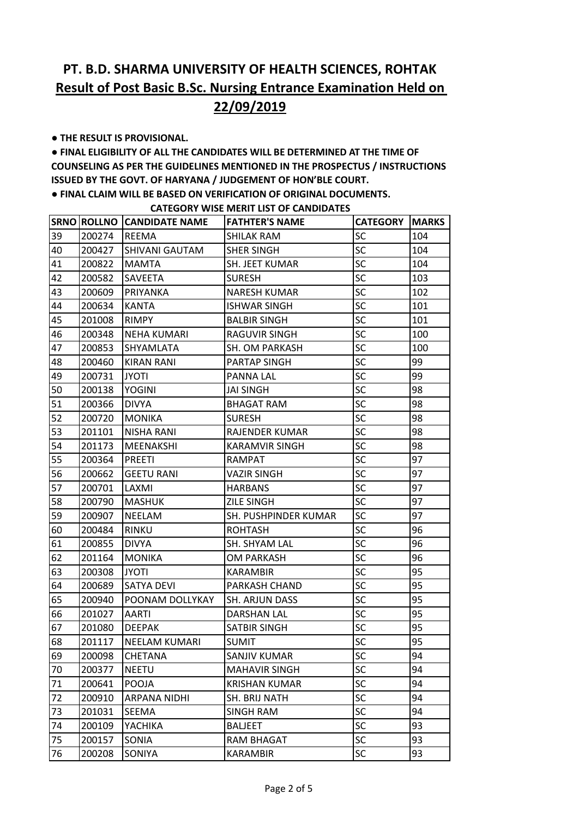**● THE RESULT IS PROVISIONAL.** 

**● FINAL ELIGIBILITY OF ALL THE CANDIDATES WILL BE DETERMINED AT THE TIME OF COUNSELING AS PER THE GUIDELINES MENTIONED IN THE PROSPECTUS / INSTRUCTIONS ISSUED BY THE GOVT. OF HARYANA / JUDGEMENT OF HON'BLE COURT.** 

**● FINAL CLAIM WILL BE BASED ON VERIFICATION OF ORIGINAL DOCUMENTS.**

|    |        | <b>SRNO ROLLNO CANDIDATE NAME</b> | <b>FATHTER'S NAME</b> | <b>CATEGORY   MARKS</b> |     |
|----|--------|-----------------------------------|-----------------------|-------------------------|-----|
| 39 | 200274 | <b>REEMA</b>                      | SHILAK RAM            | <b>SC</b>               | 104 |
| 40 | 200427 | <b>SHIVANI GAUTAM</b>             | <b>SHER SINGH</b>     | <b>SC</b>               | 104 |
| 41 | 200822 | <b>MAMTA</b>                      | SH. JEET KUMAR        | SC                      | 104 |
| 42 | 200582 | <b>SAVEETA</b>                    | <b>SURESH</b>         | SC                      | 103 |
| 43 | 200609 | PRIYANKA                          | <b>NARESH KUMAR</b>   | <b>SC</b>               | 102 |
| 44 | 200634 | <b>KANTA</b>                      | <b>ISHWAR SINGH</b>   | SC                      | 101 |
| 45 | 201008 | <b>RIMPY</b>                      | <b>BALBIR SINGH</b>   | SC                      | 101 |
| 46 | 200348 | <b>NEHA KUMARI</b>                | RAGUVIR SINGH         | SC                      | 100 |
| 47 | 200853 | <b>SHYAMLATA</b>                  | SH. OM PARKASH        | SC                      | 100 |
| 48 | 200460 | KIRAN RANI                        | PARTAP SINGH          | SC                      | 99  |
| 49 | 200731 | <b>JYOTI</b>                      | <b>PANNA LAL</b>      | SC                      | 99  |
| 50 | 200138 | <b>YOGINI</b>                     | <b>JAI SINGH</b>      | SC                      | 98  |
| 51 | 200366 | <b>DIVYA</b>                      | <b>BHAGAT RAM</b>     | SC                      | 98  |
| 52 | 200720 | IMONIKA                           | <b>SURESH</b>         | SC                      | 98  |
| 53 | 201101 | <b>NISHA RANI</b>                 | <b>RAJENDER KUMAR</b> | SC                      | 98  |
| 54 | 201173 | MEENAKSHI                         | KARAMVIR SINGH        | SC                      | 98  |
| 55 | 200364 | PREETI                            | <b>RAMPAT</b>         | SC                      | 97  |
| 56 | 200662 | <b>GEETU RANI</b>                 | VAZIR SINGH           | <b>SC</b>               | 97  |
| 57 | 200701 | LAXMI                             | <b>HARBANS</b>        | SC                      | 97  |
| 58 | 200790 | <b>MASHUK</b>                     | <b>ZILE SINGH</b>     | <b>SC</b>               | 97  |
| 59 | 200907 | <b>NEELAM</b>                     | SH. PUSHPINDER KUMAR  | SC                      | 97  |
| 60 | 200484 | <b>RINKU</b>                      | <b>ROHTASH</b>        | SC                      | 96  |
| 61 | 200855 | <b>DIVYA</b>                      | SH. SHYAM LAL         | <b>SC</b>               | 96  |
| 62 | 201164 | <b>MONIKA</b>                     | <b>OM PARKASH</b>     | SC                      | 96  |
| 63 | 200308 | <b>JYOTI</b>                      | <b>KARAMBIR</b>       | SC                      | 95  |
| 64 | 200689 | <b>SATYA DEVI</b>                 | PARKASH CHAND         | <b>SC</b>               | 95  |
| 65 | 200940 | <b>POONAM DOLLYKAY</b>            | <b>SH. ARJUN DASS</b> | SC                      | 95  |
| 66 | 201027 | <b>AARTI</b>                      | <b>DARSHAN LAL</b>    | SC                      | 95  |
| 67 | 201080 | <b>DEEPAK</b>                     | <b>SATBIR SINGH</b>   | SC                      | 95  |
| 68 | 201117 | <b>NEELAM KUMARI</b>              | <b>SUMIT</b>          | SC                      | 95  |
| 69 | 200098 | <b>CHETANA</b>                    | <b>SANJIV KUMAR</b>   | SC                      | 94  |
| 70 | 200377 | <b>NEETU</b>                      | <b>MAHAVIR SINGH</b>  | SC                      | 94  |
| 71 | 200641 | POOJA                             | <b>KRISHAN KUMAR</b>  | SC                      | 94  |
| 72 | 200910 | <b>ARPANA NIDHI</b>               | SH. BRIJ NATH         | SC                      | 94  |
| 73 | 201031 | SEEMA                             | <b>SINGH RAM</b>      | SC                      | 94  |
| 74 | 200109 | YACHIKA                           | <b>BALJEET</b>        | SC                      | 93  |
| 75 | 200157 | SONIA                             | <b>RAM BHAGAT</b>     | <b>SC</b>               | 93  |
| 76 | 200208 | SONIYA                            | <b>KARAMBIR</b>       | SC                      | 93  |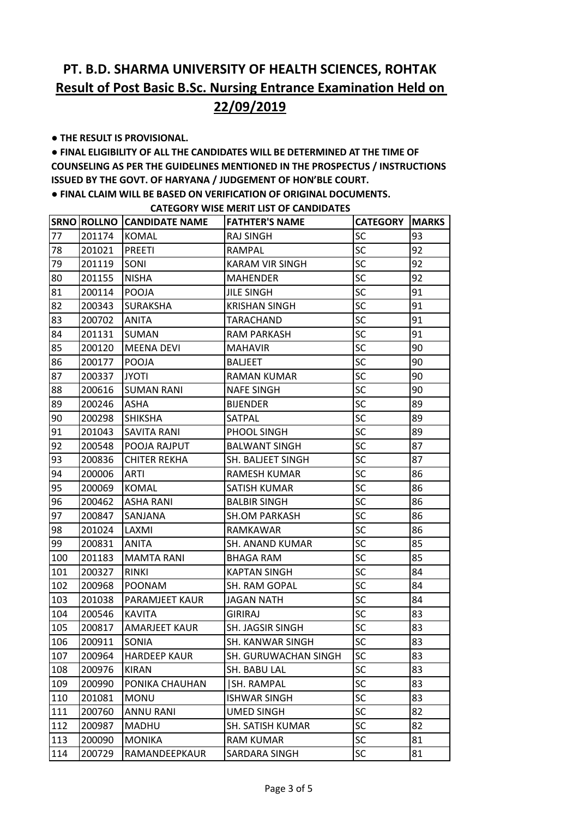**● THE RESULT IS PROVISIONAL.** 

**● FINAL ELIGIBILITY OF ALL THE CANDIDATES WILL BE DETERMINED AT THE TIME OF COUNSELING AS PER THE GUIDELINES MENTIONED IN THE PROSPECTUS / INSTRUCTIONS ISSUED BY THE GOVT. OF HARYANA / JUDGEMENT OF HON'BLE COURT.** 

**● FINAL CLAIM WILL BE BASED ON VERIFICATION OF ORIGINAL DOCUMENTS.**

|     |        | <b>SRNO ROLLNO CANDIDATE NAME</b> | <b>FATHTER'S NAME</b>    | <b>CATEGORY</b> | <b>MARKS</b> |
|-----|--------|-----------------------------------|--------------------------|-----------------|--------------|
| 77  | 201174 | <b>KOMAL</b>                      | <b>RAJ SINGH</b>         | SC              | 93           |
| 78  | 201021 | PREETI                            | <b>RAMPAL</b>            | SC              | 92           |
| 79  | 201119 | <b>SONI</b>                       | <b>KARAM VIR SINGH</b>   | <b>SC</b>       | 92           |
| 80  | 201155 | <b>NISHA</b>                      | <b>MAHENDER</b>          | SC              | 92           |
| 81  | 200114 | <b>POOJA</b>                      | <b>JILE SINGH</b>        | <b>SC</b>       | 91           |
| 82  | 200343 | <b>SURAKSHA</b>                   | <b>KRISHAN SINGH</b>     | SC              | 91           |
| 83  | 200702 | <b>ANITA</b>                      | <b>TARACHAND</b>         | SC              | 91           |
| 84  | 201131 | <b>SUMAN</b>                      | <b>RAM PARKASH</b>       | <b>SC</b>       | 91           |
| 85  | 200120 | <b>MEENA DEVI</b>                 | <b>MAHAVIR</b>           | SC              | 90           |
| 86  | 200177 | POOJA                             | <b>BALIEET</b>           | <b>SC</b>       | 90           |
| 87  | 200337 | <b>JYOTI</b>                      | RAMAN KUMAR              | SC              | 90           |
| 88  | 200616 | <b>SUMAN RANI</b>                 | <b>NAFE SINGH</b>        | SC              | 90           |
| 89  | 200246 | <b>ASHA</b>                       | <b>BIJENDER</b>          | <b>SC</b>       | 89           |
| 90  | 200298 | <b>SHIKSHA</b>                    | <b>SATPAL</b>            | SC              | 89           |
| 91  | 201043 | <b>SAVITA RANI</b>                | PHOOL SINGH              | <b>SC</b>       | 89           |
| 92  | 200548 | IPOOJA RAJPUT                     | <b>BALWANT SINGH</b>     | SC              | 87           |
| 93  | 200836 | <b>CHITER REKHA</b>               | <b>SH. BALJEET SINGH</b> | SC              | 87           |
| 94  | 200006 | ARTI                              | RAMESH KUMAR             | <b>SC</b>       | 86           |
| 95  | 200069 | <b>KOMAL</b>                      | SATISH KUMAR             | SC              | 86           |
| 96  | 200462 | <b>ASHA RANI</b>                  | <b>BALBIR SINGH</b>      | <b>SC</b>       | 86           |
| 97  | 200847 | <b>SANJANA</b>                    | <b>SH.OM PARKASH</b>     | SC              | 86           |
| 98  | 201024 | LAXMI                             | RAMKAWAR                 | SC              | 86           |
| 99  | 200831 | <b>ANITA</b>                      | <b>SH. ANAND KUMAR</b>   | <b>SC</b>       | 85           |
| 100 | 201183 | <b>MAMTA RANI</b>                 | <b>BHAGA RAM</b>         | SC              | 85           |
| 101 | 200327 | <b>RINKI</b>                      | <b>KAPTAN SINGH</b>      | <b>SC</b>       | 84           |
| 102 | 200968 | <b>POONAM</b>                     | SH. RAM GOPAL            | SC              | 84           |
| 103 | 201038 | <b>PARAMJEET KAUR</b>             | <b>JAGAN NATH</b>        | SC              | 84           |
| 104 | 200546 | KAVITA                            | <b>GIRIRAJ</b>           | <b>SC</b>       | 83           |
| 105 | 200817 | <b>AMARJEET KAUR</b>              | <b>SH. JAGSIR SINGH</b>  | SC              | 83           |
| 106 | 200911 | <b>SONIA</b>                      | <b>SH. KANWAR SINGH</b>  | SC              | 83           |
| 107 | 200964 | <b>HARDEEP KAUR</b>               | SH. GURUWACHAN SINGH     | SC              | 83           |
| 108 | 200976 | <b>KIRAN</b>                      | SH. BABU LAL             | SC              | 83           |
| 109 | 200990 | PONIKA CHAUHAN                    | SH. RAMPAL               | SC              | 83           |
| 110 | 201081 | <b>MONU</b>                       | <b>ISHWAR SINGH</b>      | SC              | 83           |
| 111 | 200760 | <b>ANNU RANI</b>                  | <b>UMED SINGH</b>        | SC              | 82           |
| 112 | 200987 | <b>MADHU</b>                      | <b>SH. SATISH KUMAR</b>  | <b>SC</b>       | 82           |
| 113 | 200090 | <b>MONIKA</b>                     | <b>RAM KUMAR</b>         | SC              | 81           |
| 114 | 200729 | RAMANDEEPKAUR                     | SARDARA SINGH            | SC              | 81           |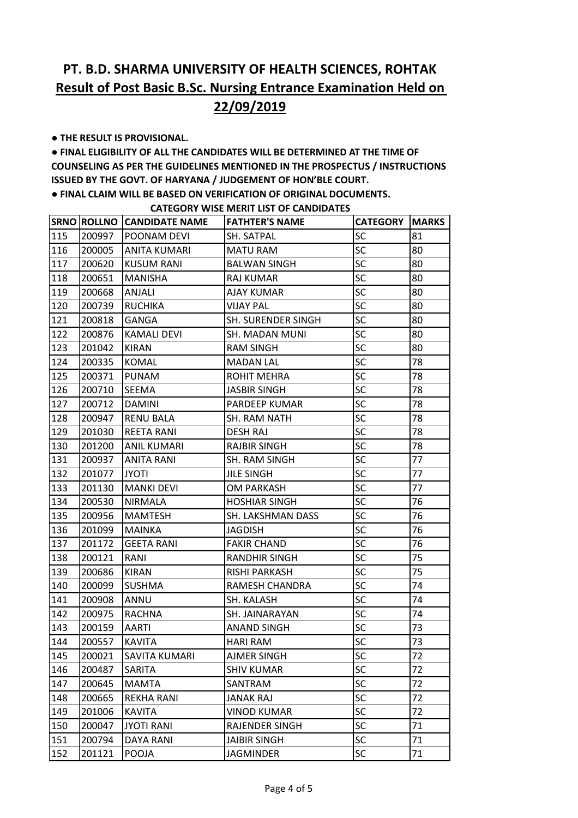**● THE RESULT IS PROVISIONAL.** 

**● FINAL ELIGIBILITY OF ALL THE CANDIDATES WILL BE DETERMINED AT THE TIME OF COUNSELING AS PER THE GUIDELINES MENTIONED IN THE PROSPECTUS / INSTRUCTIONS ISSUED BY THE GOVT. OF HARYANA / JUDGEMENT OF HON'BLE COURT.** 

**● FINAL CLAIM WILL BE BASED ON VERIFICATION OF ORIGINAL DOCUMENTS.**

|     |        | <b>SRNO ROLLNO CANDIDATE NAME</b> | <b>FATHTER'S NAME</b>     | <b>CATEGORY</b> | <b>MARKS</b> |
|-----|--------|-----------------------------------|---------------------------|-----------------|--------------|
| 115 | 200997 | IPOONAM DEVI                      | SH. SATPAL                | SC              | 81           |
| 116 | 200005 | <b>ANITA KUMARI</b>               | <b>MATU RAM</b>           | <b>SC</b>       | 80           |
| 117 | 200620 | KUSUM RANI                        | <b>BALWAN SINGH</b>       | SC              | 80           |
| 118 | 200651 | <b>MANISHA</b>                    | RAJ KUMAR                 | <b>SC</b>       | 80           |
| 119 | 200668 | <b>ANJALI</b>                     | <b>AJAY KUMAR</b>         | <b>SC</b>       | 80           |
| 120 | 200739 | <b>RUCHIKA</b>                    | <b>VIJAY PAL</b>          | SC              | 80           |
| 121 | 200818 | <b>GANGA</b>                      | <b>SH. SURENDER SINGH</b> | SC              | 80           |
| 122 | 200876 | <b>KAMALI DEVI</b>                | SH. MADAN MUNI            | SC              | 80           |
| 123 | 201042 | KIRAN                             | <b>RAM SINGH</b>          | <b>SC</b>       | 80           |
| 124 | 200335 | <b>KOMAL</b>                      | <b>MADAN LAL</b>          | <b>SC</b>       | 78           |
| 125 | 200371 | PUNAM                             | ROHIT MEHRA               | SC              | 78           |
| 126 | 200710 | <b>SEEMA</b>                      | <b>JASBIR SINGH</b>       | SC              | 78           |
| 127 | 200712 | DAMINI                            | PARDEEP KUMAR             | SC              | 78           |
| 128 | 200947 | <b>RENU BALA</b>                  | SH. RAM NATH              | <b>SC</b>       | 78           |
| 129 | 201030 | <b>REETA RANI</b>                 | <b>DESH RAJ</b>           | <b>SC</b>       | 78           |
| 130 | 201200 | <b>ANIL KUMARI</b>                | <b>RAJBIR SINGH</b>       | SC              | 78           |
| 131 | 200937 | <b>ANITA RANI</b>                 | SH. RAM SINGH             | SC              | 77           |
| 132 | 201077 | <b>JYOTI</b>                      | <b>JILE SINGH</b>         | SC              | 77           |
| 133 | 201130 | <b>MANKI DEVI</b>                 | <b>OM PARKASH</b>         | <b>SC</b>       | 77           |
| 134 | 200530 | <b>NIRMALA</b>                    | <b>HOSHIAR SINGH</b>      | <b>SC</b>       | 76           |
| 135 | 200956 | <b>MAMTESH</b>                    | SH. LAKSHMAN DASS         | SC              | 76           |
| 136 | 201099 | <b>MAINKA</b>                     | <b>JAGDISH</b>            | SC              | 76           |
| 137 | 201172 | <b>GEETA RANI</b>                 | <b>FAKIR CHAND</b>        | SC              | 76           |
| 138 | 200121 | RANI                              | RANDHIR SINGH             | <b>SC</b>       | 75           |
| 139 | 200686 | <b>KIRAN</b>                      | RISHI PARKASH             | <b>SC</b>       | 75           |
| 140 | 200099 | <b>SUSHMA</b>                     | RAMESH CHANDRA            | <b>SC</b>       | 74           |
| 141 | 200908 | ANNU                              | SH. KALASH                | SC              | 74           |
| 142 | 200975 | RACHNA                            | SH. JAINARAYAN            | SC              | 74           |
| 143 | 200159 | AARTI                             | ANAND SINGH               | <b>SC</b>       | 73           |
| 144 | 200557 | <b>KAVITA</b>                     | <b>HARI RAM</b>           | SC              | 73           |
| 145 | 200021 | <b>SAVITA KUMARI</b>              | <b>AJMER SINGH</b>        | SC              | 72           |
| 146 | 200487 | SARITA                            | <b>SHIV KUMAR</b>         | SC              | 72           |
| 147 | 200645 | <b>MAMTA</b>                      | SANTRAM                   | SC              | 72           |
| 148 | 200665 | <b>REKHA RANI</b>                 | <b>JANAK RAJ</b>          | <b>SC</b>       | 72           |
| 149 | 201006 | <b>KAVITA</b>                     | <b>VINOD KUMAR</b>        | <b>SC</b>       | 72           |
| 150 | 200047 | <b>JYOTI RANI</b>                 | RAJENDER SINGH            | SC              | 71           |
| 151 | 200794 | <b>DAYA RANI</b>                  | <b>JAIBIR SINGH</b>       | <b>SC</b>       | 71           |
| 152 | 201121 | POOJA                             | <b>JAGMINDER</b>          | SC              | 71           |